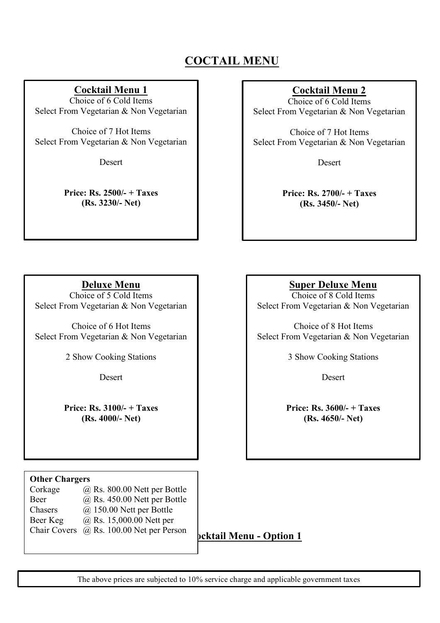# **COCTAIL MENU**

I

 $\overline{a}$ I I I I I I I I I I I I I I ľ

# **Cocktail Menu 1**

Choice of 6 Cold Items Select From Vegetarian & Non Vegetarian

Choice of 7 Hot Items Select From Vegetarian & Non Vegetarian

Desert

**Price: Rs. 2500/- + Taxes (Rs. 3230/- Net)**

# **Cocktail Menu 2**

Choice of 6 Cold Items Select From Vegetarian & Non Vegetarian

Choice of 7 Hot Items Select From Vegetarian & Non Vegetarian

Desert

**Price: Rs. 2700/- + Taxes (Rs. 3450/- Net)**

**Deluxe Menu** 

Choice of 5 Cold Items Select From Vegetarian & Non Vegetarian

Choice of 6 Hot Items Select From Vegetarian & Non Vegetarian

2 Show Cooking Stations

**Desert** 

**Price: Rs. 3100/- + Taxes (Rs. 4000/- Net)**

## **Other Chargers**

Chasers Beer Keg Corkage  $\qquad \qquad (\partial, \text{Rs. 800.00~N}$ ett per Bottle Beer @ Rs. 450.00 Nett per Bottle  $\omega$  150.00 Nett per Bottle  $\omega$  Rs. 15,000.00 Nett per Chair Covers @ Rs. 100.00 Net per Person

**Cocktail Menu - Option 1**

The above prices are subjected to 10% service charge and applicable government taxes

**Super Deluxe Menu** 

Choice of 8 Cold Items Select From Vegetarian & Non Vegetarian

Choice of 8 Hot Items Select From Vegetarian & Non Vegetarian

3 Show Cooking Stations

**Desert** 

**Price: Rs. 3600/- + Taxes (Rs. 4650/- Net)**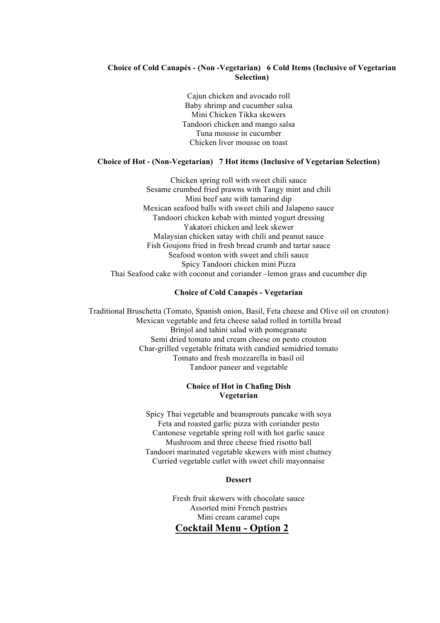### **Choice of Cold Canapés - (Non -Vegetarian) 6 Cold Items (Inclusive of Vegetarian Selection)**

Cajun chicken and avocado roll Baby shrimp and cucumber salsa Mini Chicken Tikka skewers Tandoori chicken and mango salsa Tuna mousse in cucumber Chicken liver mousse on toast

#### **Choice of Hot - (Non-Vegetarian) 7 Hot items (Inclusive of Vegetarian Selection)**

Chicken spring roll with sweet chili sauce Sesame crumbed fried prawns with Tangy mint and chili Mini beef sate with tamarind dip Mexican seafood balls with sweet chili and Jalapeno sauce Tandoori chicken kebab with minted yogurt dressing Yakatori chicken and leek skewer Malaysian chicken satay with chili and peanut sauce Fish Goujons fried in fresh bread crumb and tartar sauce Seafood wonton with sweet and chili sauce Spicy Tandoori chicken mini Pizza Thai Seafood cake with coconut and coriander –lemon grass and cucumber dip

#### **Choice of Cold Canapés - Vegetarian**

Traditional Bruschetta (Tomato, Spanish onion, Basil, Feta cheese and Olive oil on crouton) Mexican vegetable and feta cheese salad rolled in tortilla bread Brinjol and tahini salad with pomegranate Semi dried tomato and cream cheese on pesto crouton Char-grilled vegetable frittata with candied semidried tomato Tomato and fresh mozzarella in basil oil Tandoor paneer and vegetable

### **Choice of Hot in Chafing Dish Vegetarian**

Spicy Thai vegetable and beansprouts pancake with soya Feta and roasted garlic pizza with coriander pesto Cantonese vegetable spring roll with hot garlic sauce Mushroom and three cheese fried risotto ball Tandoori marinated vegetable skewers with mint chutney Curried vegetable cutlet with sweet chili mayonnaise

#### **Dessert**

Fresh fruit skewers with chocolate sauce Assorted mini French pastries Mini cream caramel cups **Cocktail Menu - Option 2**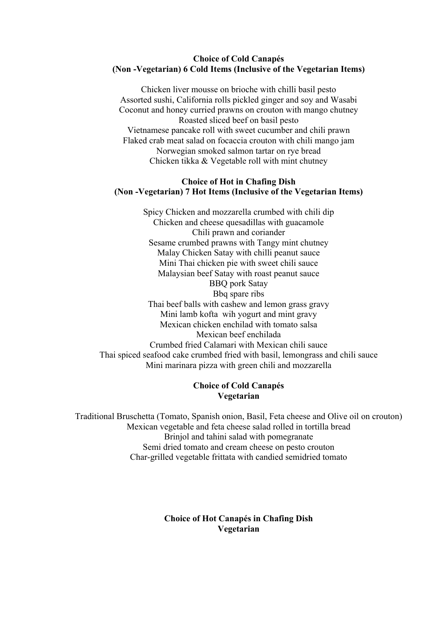## **Choice of Cold Canapés (Non -Vegetarian) 6 Cold Items (Inclusive of the Vegetarian Items)**

Chicken liver mousse on brioche with chilli basil pesto Assorted sushi, California rolls pickled ginger and soy and Wasabi Coconut and honey curried prawns on crouton with mango chutney Roasted sliced beef on basil pesto Vietnamese pancake roll with sweet cucumber and chili prawn Flaked crab meat salad on focaccia crouton with chili mango jam Norwegian smoked salmon tartar on rye bread Chicken tikka & Vegetable roll with mint chutney

## **Choice of Hot in Chafing Dish (Non -Vegetarian) 7 Hot Items (Inclusive of the Vegetarian Items)**

Spicy Chicken and mozzarella crumbed with chili dip Chicken and cheese quesadillas with guacamole Chili prawn and coriander Sesame crumbed prawns with Tangy mint chutney Malay Chicken Satay with chilli peanut sauce Mini Thai chicken pie with sweet chili sauce Malaysian beef Satay with roast peanut sauce BBQ pork Satay Bbq spare ribs Thai beef balls with cashew and lemon grass gravy Mini lamb kofta wih yogurt and mint gravy Mexican chicken enchilad with tomato salsa Mexican beef enchilada Crumbed fried Calamari with Mexican chili sauce Thai spiced seafood cake crumbed fried with basil, lemongrass and chili sauce Mini marinara pizza with green chili and mozzarella

## **Choice of Cold Canapés Vegetarian**

Traditional Bruschetta (Tomato, Spanish onion, Basil, Feta cheese and Olive oil on crouton) Mexican vegetable and feta cheese salad rolled in tortilla bread Brinjol and tahini salad with pomegranate Semi dried tomato and cream cheese on pesto crouton Char-grilled vegetable frittata with candied semidried tomato

> **Choice of Hot Canapés in Chafing Dish Vegetarian**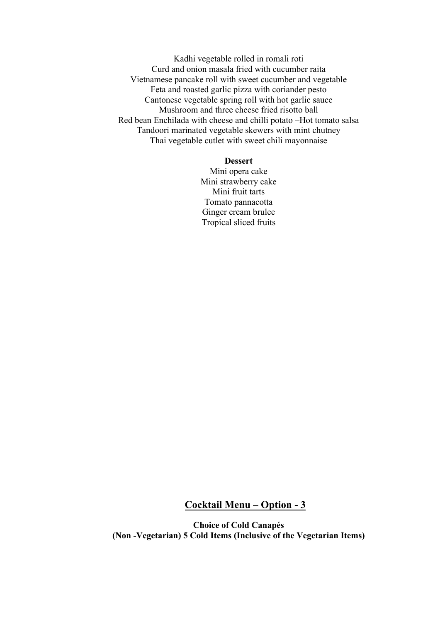Kadhi vegetable rolled in romali roti Curd and onion masala fried with cucumber raita Vietnamese pancake roll with sweet cucumber and vegetable Feta and roasted garlic pizza with coriander pesto Cantonese vegetable spring roll with hot garlic sauce Mushroom and three cheese fried risotto ball Red bean Enchilada with cheese and chilli potato –Hot tomato salsa Tandoori marinated vegetable skewers with mint chutney Thai vegetable cutlet with sweet chili mayonnaise

#### **Dessert**

Mini opera cake Mini strawberry cake Mini fruit tarts Tomato pannacotta Ginger cream brulee Tropical sliced fruits

## **Cocktail Menu – Option - 3**

**Choice of Cold Canapés (Non -Vegetarian) 5 Cold Items (Inclusive of the Vegetarian Items)**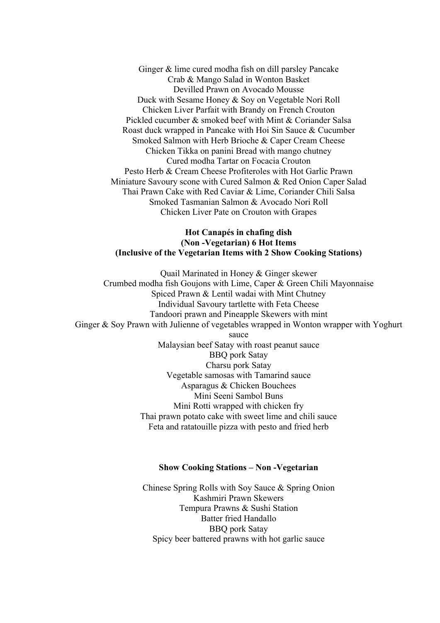Ginger & lime cured modha fish on dill parsley Pancake Crab & Mango Salad in Wonton Basket Devilled Prawn on Avocado Mousse Duck with Sesame Honey & Soy on Vegetable Nori Roll Chicken Liver Parfait with Brandy on French Crouton Pickled cucumber & smoked beef with Mint & Coriander Salsa Roast duck wrapped in Pancake with Hoi Sin Sauce & Cucumber Smoked Salmon with Herb Brioche & Caper Cream Cheese Chicken Tikka on panini Bread with mango chutney Cured modha Tartar on Focacia Crouton Pesto Herb & Cream Cheese Profiteroles with Hot Garlic Prawn Miniature Savoury scone with Cured Salmon & Red Onion Caper Salad Thai Prawn Cake with Red Caviar & Lime, Coriander Chili Salsa Smoked Tasmanian Salmon & Avocado Nori Roll Chicken Liver Pate on Crouton with Grapes

## **Hot Canapés in chafing dish (Non -Vegetarian) 6 Hot Items (Inclusive of the Vegetarian Items with 2 Show Cooking Stations)**

Quail Marinated in Honey & Ginger skewer Crumbed modha fish Goujons with Lime, Caper & Green Chili Mayonnaise Spiced Prawn & Lentil wadai with Mint Chutney Individual Savoury tartlette with Feta Cheese Tandoori prawn and Pineapple Skewers with mint Ginger & Soy Prawn with Julienne of vegetables wrapped in Wonton wrapper with Yoghurt sauce Malaysian beef Satay with roast peanut sauce BBQ pork Satay Charsu pork Satay Vegetable samosas with Tamarind sauce Asparagus & Chicken Bouchees Mini Seeni Sambol Buns

Mini Rotti wrapped with chicken fry Thai prawn potato cake with sweet lime and chili sauce Feta and ratatouille pizza with pesto and fried herb

#### **Show Cooking Stations – Non -Vegetarian**

Chinese Spring Rolls with Soy Sauce & Spring Onion Kashmiri Prawn Skewers Tempura Prawns & Sushi Station Batter fried Handallo BBQ pork Satay Spicy beer battered prawns with hot garlic sauce